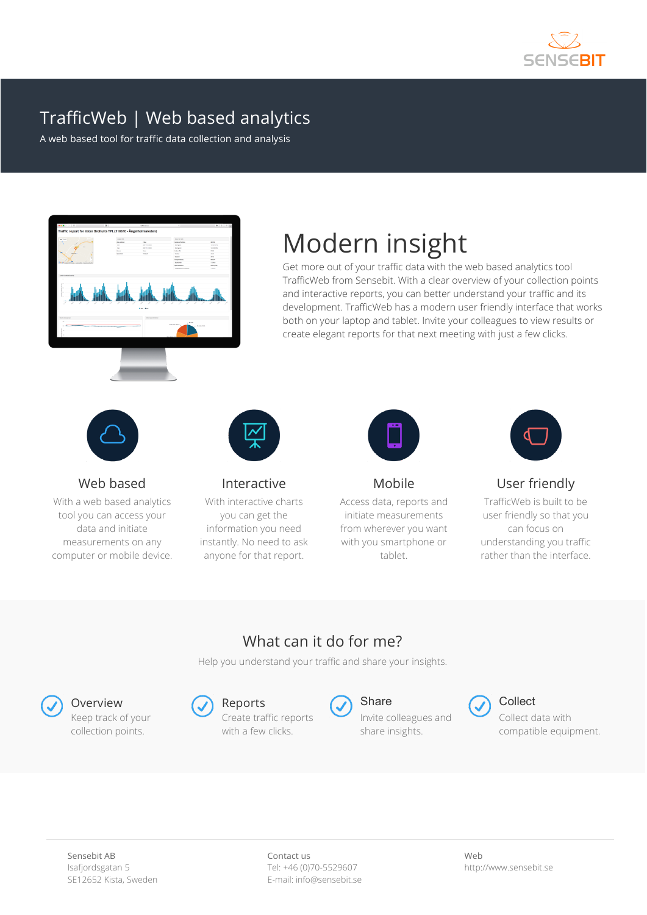

### TrafficWeb | Web based analytics

A web based tool for traffic data collection and analysis



# Modern insight

Get more out of your traffic data with the web based analytics tool TrafficWeb from Sensebit. With a clear overview of your collection points and interactive reports, you can better understand your traffic and its development. TrafficWeb has a modern user friendly interface that works both on your laptop and tablet. Invite your colleagues to view results or create elegant reports for that next meeting with just a few clicks.



Web based

With a web based analytics tool you can access your data and initiate measurements on any computer or mobile device.



Interactive With interactive charts

you can get the information you need instantly. No need to ask anyone for that report.



Mobile

Access data, reports and initiate measurements from wherever you want with you smartphone or tablet.



User friendly

TrafficWeb is built to be user friendly so that you can focus on understanding you traffic rather than the interface.

#### What can it do for me?

Help you understand your traffic and share your insights.



Keep track of your collection points.





Invite colleagues and share insights.



Collect data with compatible equipment.

Contact us Tel: +46 (0)70-5529607 E-mail: info@sensebit.se